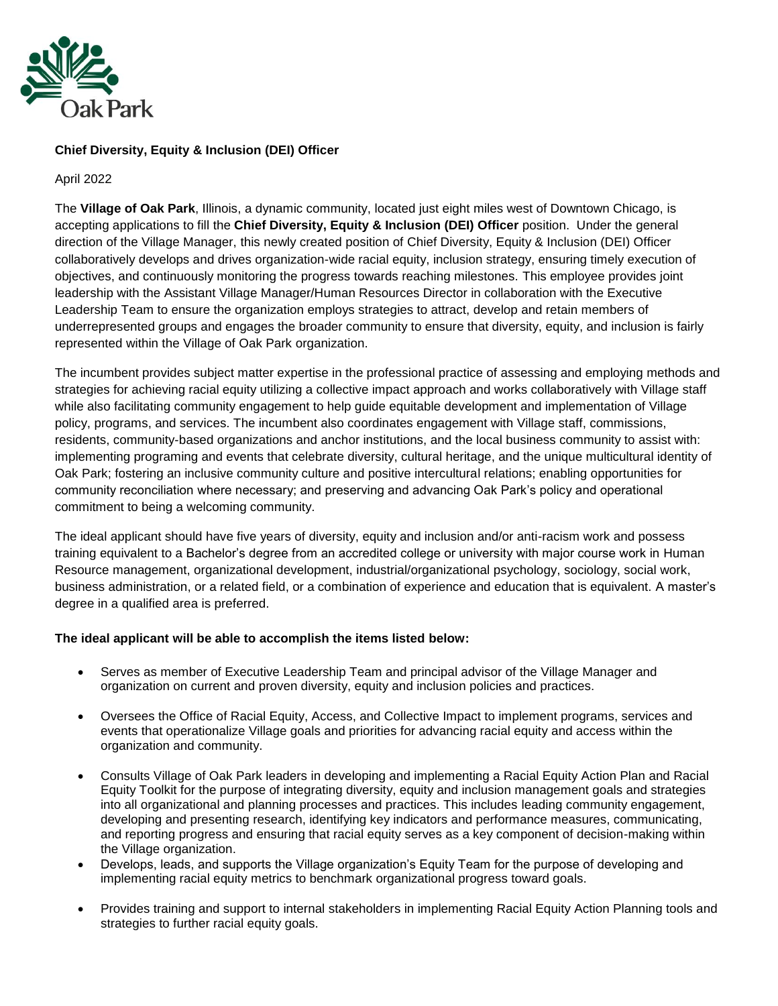

# **Chief Diversity, Equity & Inclusion (DEI) Officer**

April 2022

The **Village of Oak Park**, Illinois, a dynamic community, located just eight miles west of Downtown Chicago, is accepting applications to fill the **Chief Diversity, Equity & Inclusion (DEI) Officer** position. Under the general direction of the Village Manager, this newly created position of Chief Diversity, Equity & Inclusion (DEI) Officer collaboratively develops and drives organization-wide racial equity, inclusion strategy, ensuring timely execution of objectives, and continuously monitoring the progress towards reaching milestones. This employee provides joint leadership with the Assistant Village Manager/Human Resources Director in collaboration with the Executive Leadership Team to ensure the organization employs strategies to attract, develop and retain members of underrepresented groups and engages the broader community to ensure that diversity, equity, and inclusion is fairly represented within the Village of Oak Park organization.

The incumbent provides subject matter expertise in the professional practice of assessing and employing methods and strategies for achieving racial equity utilizing a collective impact approach and works collaboratively with Village staff while also facilitating community engagement to help guide equitable development and implementation of Village policy, programs, and services. The incumbent also coordinates engagement with Village staff, commissions, residents, community-based organizations and anchor institutions, and the local business community to assist with: implementing programing and events that celebrate diversity, cultural heritage, and the unique multicultural identity of Oak Park; fostering an inclusive community culture and positive intercultural relations; enabling opportunities for community reconciliation where necessary; and preserving and advancing Oak Park's policy and operational commitment to being a welcoming community.

The ideal applicant should have five years of diversity, equity and inclusion and/or anti-racism work and possess training equivalent to a Bachelor's degree from an accredited college or university with major course work in Human Resource management, organizational development, industrial/organizational psychology, sociology, social work, business administration, or a related field, or a combination of experience and education that is equivalent. A master's degree in a qualified area is preferred.

### **The ideal applicant will be able to accomplish the items listed below:**

- Serves as member of Executive Leadership Team and principal advisor of the Village Manager and organization on current and proven diversity, equity and inclusion policies and practices.
- Oversees the Office of Racial Equity, Access, and Collective Impact to implement programs, services and events that operationalize Village goals and priorities for advancing racial equity and access within the organization and community.
- Consults Village of Oak Park leaders in developing and implementing a Racial Equity Action Plan and Racial Equity Toolkit for the purpose of integrating diversity, equity and inclusion management goals and strategies into all organizational and planning processes and practices. This includes leading community engagement, developing and presenting research, identifying key indicators and performance measures, communicating, and reporting progress and ensuring that racial equity serves as a key component of decision-making within the Village organization.
- Develops, leads, and supports the Village organization's Equity Team for the purpose of developing and implementing racial equity metrics to benchmark organizational progress toward goals.
- Provides training and support to internal stakeholders in implementing Racial Equity Action Planning tools and strategies to further racial equity goals.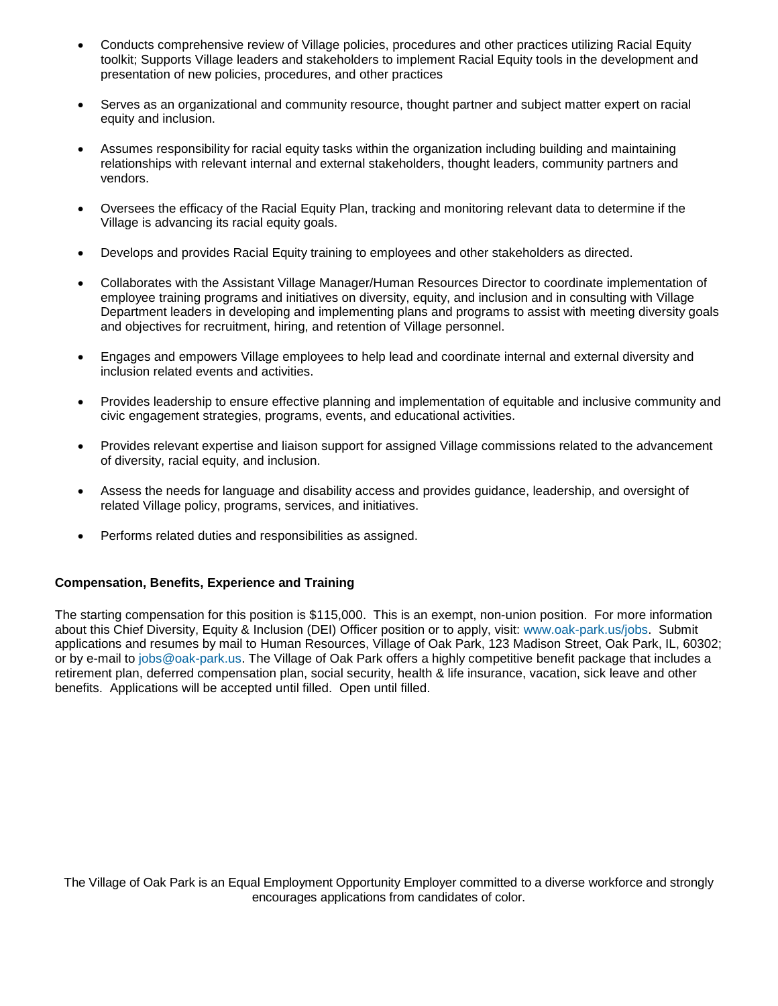- Conducts comprehensive review of Village policies, procedures and other practices utilizing Racial Equity toolkit; Supports Village leaders and stakeholders to implement Racial Equity tools in the development and presentation of new policies, procedures, and other practices
- Serves as an organizational and community resource, thought partner and subject matter expert on racial equity and inclusion.
- Assumes responsibility for racial equity tasks within the organization including building and maintaining relationships with relevant internal and external stakeholders, thought leaders, community partners and vendors.
- Oversees the efficacy of the Racial Equity Plan, tracking and monitoring relevant data to determine if the Village is advancing its racial equity goals.
- Develops and provides Racial Equity training to employees and other stakeholders as directed.
- Collaborates with the Assistant Village Manager/Human Resources Director to coordinate implementation of employee training programs and initiatives on diversity, equity, and inclusion and in consulting with Village Department leaders in developing and implementing plans and programs to assist with meeting diversity goals and objectives for recruitment, hiring, and retention of Village personnel.
- Engages and empowers Village employees to help lead and coordinate internal and external diversity and inclusion related events and activities.
- Provides leadership to ensure effective planning and implementation of equitable and inclusive community and civic engagement strategies, programs, events, and educational activities.
- Provides relevant expertise and liaison support for assigned Village commissions related to the advancement of diversity, racial equity, and inclusion.
- Assess the needs for language and disability access and provides guidance, leadership, and oversight of related Village policy, programs, services, and initiatives.
- Performs related duties and responsibilities as assigned.

#### **Compensation, Benefits, Experience and Training**

The starting compensation for this position is \$115,000. This is an exempt, non-union position. For more information about this Chief Diversity, Equity & Inclusion (DEI) Officer position or to apply, visit: [www.oak-park.us/jobs.](http://www.oak-park.us/jobs) Submit applications and resumes by mail to Human Resources, Village of Oak Park, 123 Madison Street, Oak Park, IL, 60302; or by e-mail to [jobs@oak-park.us.](mailto:jobs@oak-park.us) The Village of Oak Park offers a highly competitive benefit package that includes a retirement plan, deferred compensation plan, social security, health & life insurance, vacation, sick leave and other benefits. Applications will be accepted until filled. Open until filled.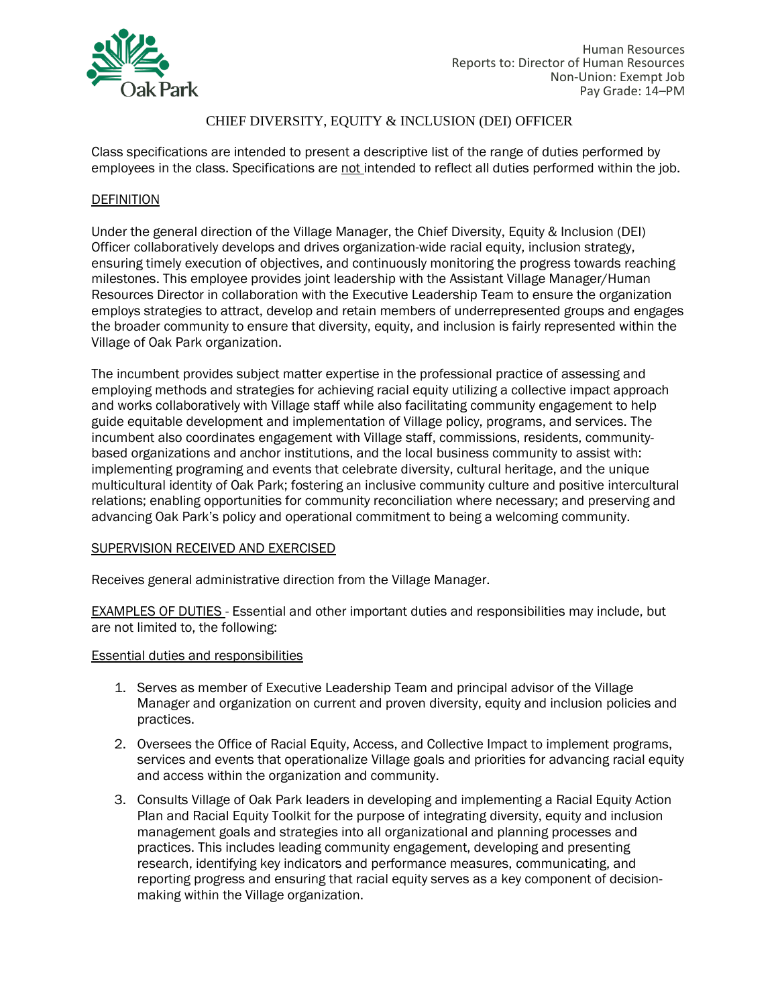

Class specifications are intended to present a descriptive list of the range of duties performed by employees in the class. Specifications are not intended to reflect all duties performed within the job.

### **DEFINITION**

Under the general direction of the Village Manager, the Chief Diversity, Equity & Inclusion (DEI) Officer collaboratively develops and drives organization-wide racial equity, inclusion strategy, ensuring timely execution of objectives, and continuously monitoring the progress towards reaching milestones. This employee provides joint leadership with the Assistant Village Manager/Human Resources Director in collaboration with the Executive Leadership Team to ensure the organization employs strategies to attract, develop and retain members of underrepresented groups and engages the broader community to ensure that diversity, equity, and inclusion is fairly represented within the Village of Oak Park organization.

The incumbent provides subject matter expertise in the professional practice of assessing and employing methods and strategies for achieving racial equity utilizing a collective impact approach and works collaboratively with Village staff while also facilitating community engagement to help guide equitable development and implementation of Village policy, programs, and services. The incumbent also coordinates engagement with Village staff, commissions, residents, communitybased organizations and anchor institutions, and the local business community to assist with: implementing programing and events that celebrate diversity, cultural heritage, and the unique multicultural identity of Oak Park; fostering an inclusive community culture and positive intercultural relations; enabling opportunities for community reconciliation where necessary; and preserving and advancing Oak Park's policy and operational commitment to being a welcoming community.

### SUPERVISION RECEIVED AND EXERCISED

Receives general administrative direction from the Village Manager.

EXAMPLES OF DUTIES - Essential and other important duties and responsibilities may include, but are not limited to, the following:

### Essential duties and responsibilities

- 1. Serves as member of Executive Leadership Team and principal advisor of the Village Manager and organization on current and proven diversity, equity and inclusion policies and practices.
- 2. Oversees the Office of Racial Equity, Access, and Collective Impact to implement programs, services and events that operationalize Village goals and priorities for advancing racial equity and access within the organization and community.
- 3. Consults Village of Oak Park leaders in developing and implementing a Racial Equity Action Plan and Racial Equity Toolkit for the purpose of integrating diversity, equity and inclusion management goals and strategies into all organizational and planning processes and practices. This includes leading community engagement, developing and presenting research, identifying key indicators and performance measures, communicating, and reporting progress and ensuring that racial equity serves as a key component of decisionmaking within the Village organization.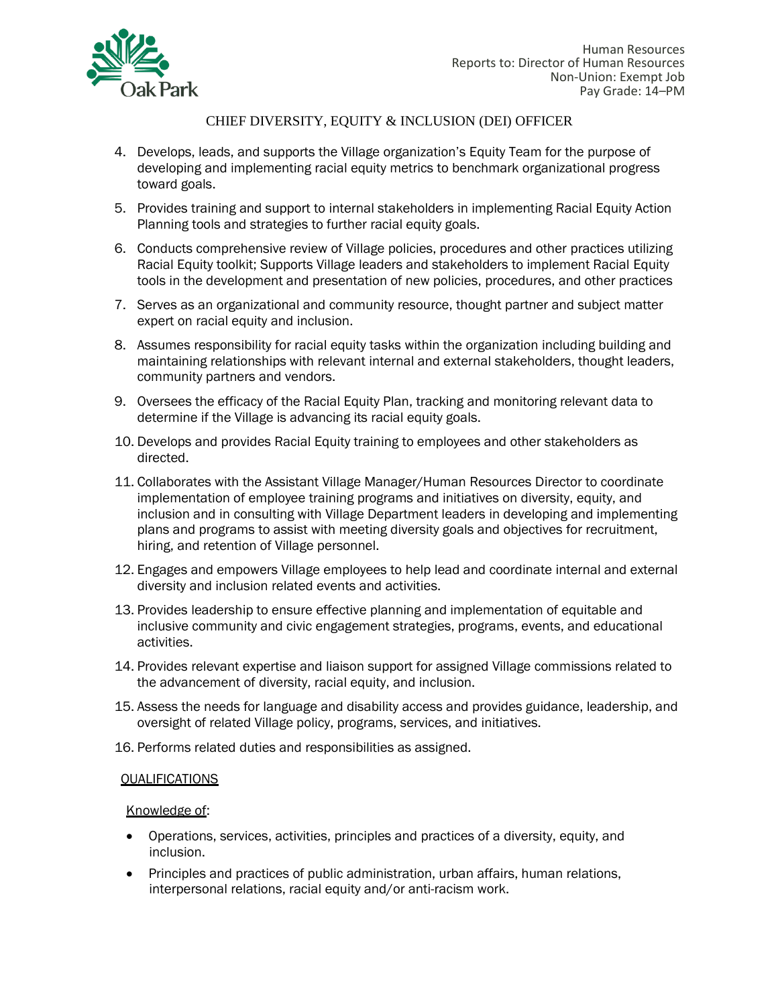

- 4. Develops, leads, and supports the Village organization's Equity Team for the purpose of developing and implementing racial equity metrics to benchmark organizational progress toward goals.
- 5. Provides training and support to internal stakeholders in implementing Racial Equity Action Planning tools and strategies to further racial equity goals.
- 6. Conducts comprehensive review of Village policies, procedures and other practices utilizing Racial Equity toolkit; Supports Village leaders and stakeholders to implement Racial Equity tools in the development and presentation of new policies, procedures, and other practices
- 7. Serves as an organizational and community resource, thought partner and subject matter expert on racial equity and inclusion.
- 8. Assumes responsibility for racial equity tasks within the organization including building and maintaining relationships with relevant internal and external stakeholders, thought leaders, community partners and vendors.
- 9. Oversees the efficacy of the Racial Equity Plan, tracking and monitoring relevant data to determine if the Village is advancing its racial equity goals.
- 10. Develops and provides Racial Equity training to employees and other stakeholders as directed.
- 11. Collaborates with the Assistant Village Manager/Human Resources Director to coordinate implementation of employee training programs and initiatives on diversity, equity, and inclusion and in consulting with Village Department leaders in developing and implementing plans and programs to assist with meeting diversity goals and objectives for recruitment, hiring, and retention of Village personnel.
- 12. Engages and empowers Village employees to help lead and coordinate internal and external diversity and inclusion related events and activities.
- 13. Provides leadership to ensure effective planning and implementation of equitable and inclusive community and civic engagement strategies, programs, events, and educational activities.
- 14. Provides relevant expertise and liaison support for assigned Village commissions related to the advancement of diversity, racial equity, and inclusion.
- 15. Assess the needs for language and disability access and provides guidance, leadership, and oversight of related Village policy, programs, services, and initiatives.
- 16. Performs related duties and responsibilities as assigned.

### **QUALIFICATIONS**

#### Knowledge of:

- Operations, services, activities, principles and practices of a diversity, equity, and inclusion.
- Principles and practices of public administration, urban affairs, human relations, interpersonal relations, racial equity and/or anti-racism work.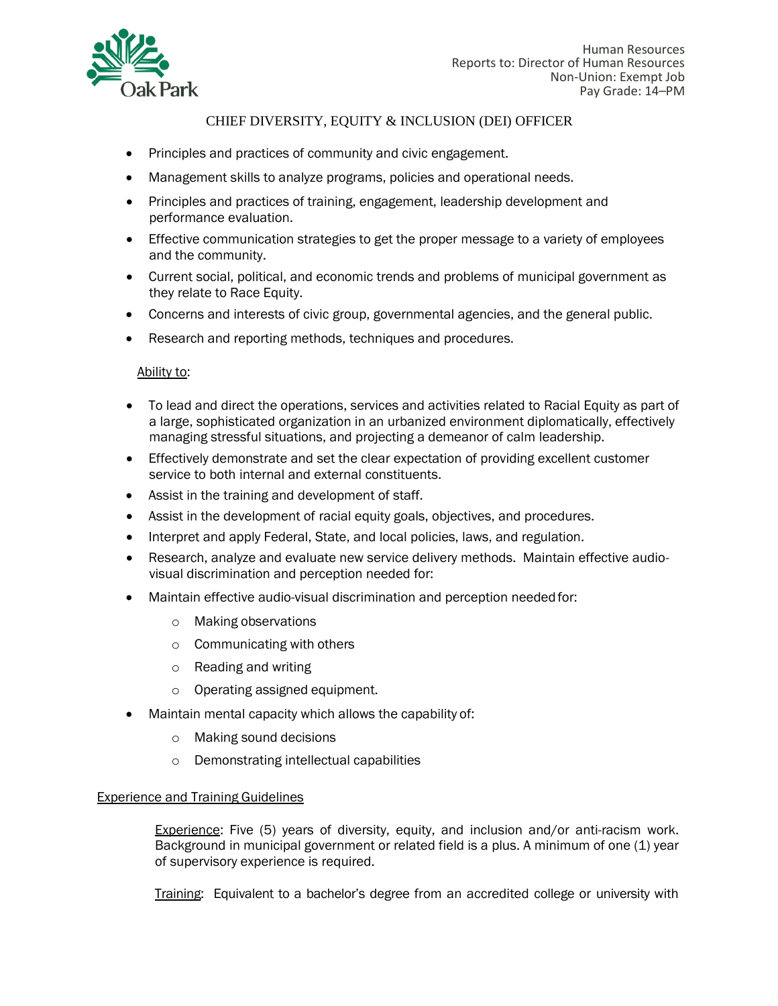

- Principles and practices of community and civic engagement.
- Management skills to analyze programs, policies and operational needs.
- Principles and practices of training, engagement, leadership development and performance evaluation.
- Effective communication strategies to get the proper message to a variety of employees and the community.
- Current social, political, and economic trends and problems of municipal government as they relate to Race Equity.
- Concerns and interests of civic group, governmental agencies, and the general public.
- Research and reporting methods, techniques and procedures.

#### Ability to:

- To lead and direct the operations, services and activities related to Racial Equity as part of a large, sophisticated organization in an urbanized environment diplomatically, effectively managing stressful situations, and projecting a demeanor of calm leadership.
- Effectively demonstrate and set the clear expectation of providing excellent customer service to both internal and external constituents.
- Assist in the training and development of staff.
- Assist in the development of racial equity goals, objectives, and procedures.
- Interpret and apply Federal, State, and local policies, laws, and regulation.
- Research, analyze and evaluate new service delivery methods. Maintain effective audiovisual discrimination and perception needed for:
- Maintain effective audio-visual discrimination and perception needed for:
	- o Making observations
	- o Communicating with others
	- o Reading and writing
	- o Operating assigned equipment.
- Maintain mental capacity which allows the capability of:
	- o Making sound decisions
	- o Demonstrating intellectual capabilities

### Experience and Training Guidelines

Experience: Five (5) years of diversity, equity, and inclusion and/or anti-racism work. Background in municipal government or related field is a plus. A minimum of one (1) year of supervisory experience is required.

Training: Equivalent to a bachelor's degree from an accredited college or university with